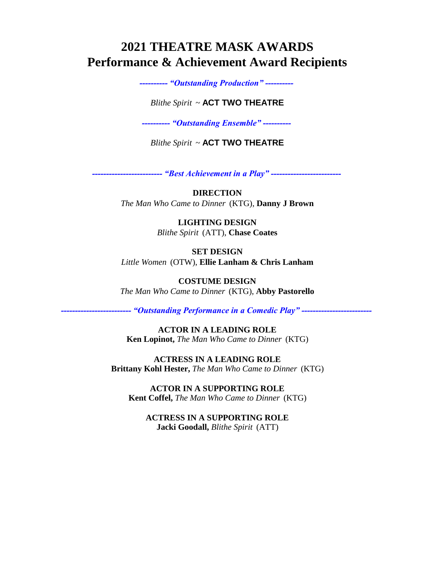## **2021 THEATRE MASK AWARDS Performance & Achievement Award Recipients**

*---------- "Outstanding Production" ----------*

## *Blithe Spirit* ~ **ACT TWO THEATRE**

*---------- "Outstanding Ensemble" ----------*

*Blithe Spirit* ~ **ACT TWO THEATRE**

*------------------------- "Best Achievement in a Play" -------------------------*

**DIRECTION**  *The Man Who Came to Dinner* (KTG), **Danny J Brown**

> **LIGHTING DESIGN** *Blithe Spirit* (ATT), **Chase Coates**

**SET DESIGN**  *Little Women* (OTW), **Ellie Lanham & Chris Lanham**

**COSTUME DESIGN**  *The Man Who Came to Dinner* (KTG), **Abby Pastorello**

*------------------------- "Outstanding Performance in a Comedic Play" -------------------------*

**ACTOR IN A LEADING ROLE Ken Lopinot,** *The Man Who Came to Dinner* (KTG)

**ACTRESS IN A LEADING ROLE Brittany Kohl Hester,** *The Man Who Came to Dinner* (KTG)

**ACTOR IN A SUPPORTING ROLE Kent Coffel,** *The Man Who Came to Dinner* (KTG)

**ACTRESS IN A SUPPORTING ROLE Jacki Goodall,** *Blithe Spirit* (ATT)